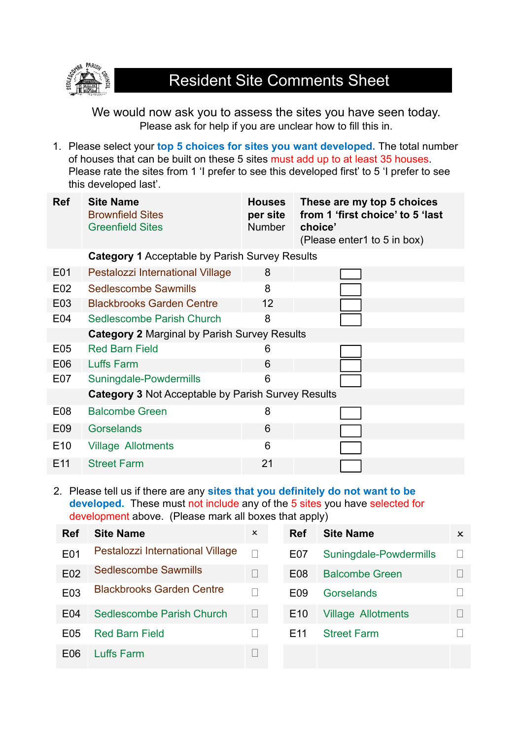

We would now ask you to assess the sites you have seen today. Please ask for help if you are unclear how to fill this in.

1. Please select your **top 5 choices for sites you want developed.** The total number of houses that can be built on these 5 sites must add up to at least 35 houses. Please rate the sites from 1 'I prefer to see this developed first' to 5 'I prefer to see this developed last'.

| <b>Ref</b>      | <b>Site Name</b><br><b>Brownfield Sites</b><br><b>Greenfield Sites</b> | <b>Houses</b><br>per site<br><b>Number</b> | These are my top 5 choices<br>from 1 'first choice' to 5 'last<br>choice'<br>(Please enter1 to 5 in box) |  |  |  |
|-----------------|------------------------------------------------------------------------|--------------------------------------------|----------------------------------------------------------------------------------------------------------|--|--|--|
|                 | <b>Category 1</b> Acceptable by Parish Survey Results                  |                                            |                                                                                                          |  |  |  |
| E01             | Pestalozzi International Village                                       | 8                                          |                                                                                                          |  |  |  |
| E02             | <b>Sedlescombe Sawmills</b>                                            | 8                                          |                                                                                                          |  |  |  |
| E03             | <b>Blackbrooks Garden Centre</b>                                       | 12                                         |                                                                                                          |  |  |  |
| E04             | <b>Sedlescombe Parish Church</b>                                       | 8                                          |                                                                                                          |  |  |  |
|                 | <b>Category 2 Marginal by Parish Survey Results</b>                    |                                            |                                                                                                          |  |  |  |
| E05             | <b>Red Barn Field</b>                                                  | 6                                          |                                                                                                          |  |  |  |
| E06             | <b>Luffs Farm</b>                                                      | 6                                          |                                                                                                          |  |  |  |
| E07             | Suningdale-Powdermills                                                 | 6                                          |                                                                                                          |  |  |  |
|                 | <b>Category 3 Not Acceptable by Parish Survey Results</b>              |                                            |                                                                                                          |  |  |  |
| E08             | <b>Balcombe Green</b>                                                  | 8                                          |                                                                                                          |  |  |  |
| E09             | <b>Gorselands</b>                                                      | 6                                          |                                                                                                          |  |  |  |
| E <sub>10</sub> | <b>Village Allotments</b>                                              | 6                                          |                                                                                                          |  |  |  |
| E <sub>11</sub> | <b>Street Farm</b>                                                     | 21                                         |                                                                                                          |  |  |  |

2. Please tell us if there are any **sites that you definitely do not want to be developed.** These must not include any of the 5 sites you have selected for development above. (Please mark all boxes that apply)

| <b>Ref</b>      | <b>Site Name</b>                 | $\boldsymbol{\mathsf{x}}$ | <b>Ref</b>       | <b>Site Name</b>          | $\mathsf{x}$ |
|-----------------|----------------------------------|---------------------------|------------------|---------------------------|--------------|
| E01             | Pestalozzi International Village | П                         | E <sub>0</sub> 7 | Suningdale-Powdermills    |              |
| E02             | <b>Sedlescombe Sawmills</b>      | $\Box$                    | E08              | <b>Balcombe Green</b>     |              |
| E03             | <b>Blackbrooks Garden Centre</b> | $\Box$                    | E09              | <b>Gorselands</b>         |              |
| E04             | <b>Sedlescombe Parish Church</b> | $\Box$                    | E <sub>10</sub>  | <b>Village Allotments</b> |              |
| E <sub>05</sub> | <b>Red Barn Field</b>            |                           | F <sub>11</sub>  | <b>Street Farm</b>        |              |
| E06             | <b>Luffs Farm</b>                |                           |                  |                           |              |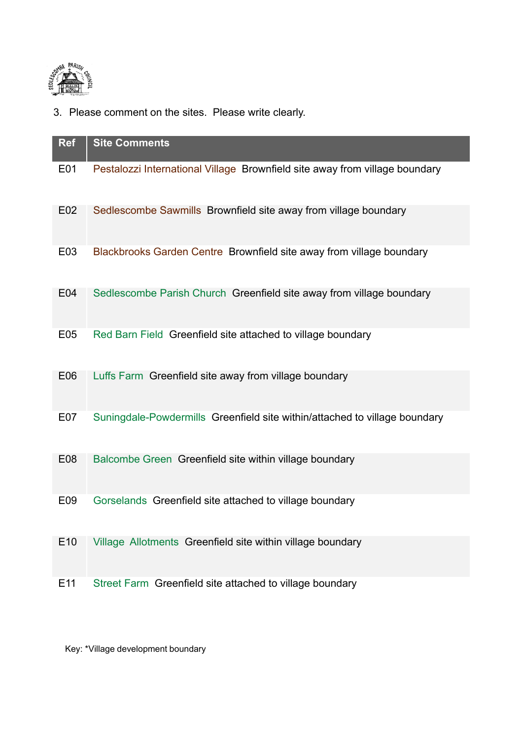

3. Please comment on the sites. Please write clearly.

| <b>Ref</b>      | <b>Site Comments</b>                                                        |
|-----------------|-----------------------------------------------------------------------------|
| E01             | Pestalozzi International Village Brownfield site away from village boundary |
| E02             | Sedlescombe Sawmills Brownfield site away from village boundary             |
| E03             | Blackbrooks Garden Centre Brownfield site away from village boundary        |
| E04             | Sedlescombe Parish Church Greenfield site away from village boundary        |
| E05             | Red Barn Field Greenfield site attached to village boundary                 |
| E06             | Luffs Farm Greenfield site away from village boundary                       |
| E07             | Suningdale-Powdermills Greenfield site within/attached to village boundary  |
| E08             | Balcombe Green Greenfield site within village boundary                      |
| E09             | Gorselands Greenfield site attached to village boundary                     |
| E <sub>10</sub> | Village Allotments Greenfield site within village boundary                  |
| E11             | Street Farm Greenfield site attached to village boundary                    |